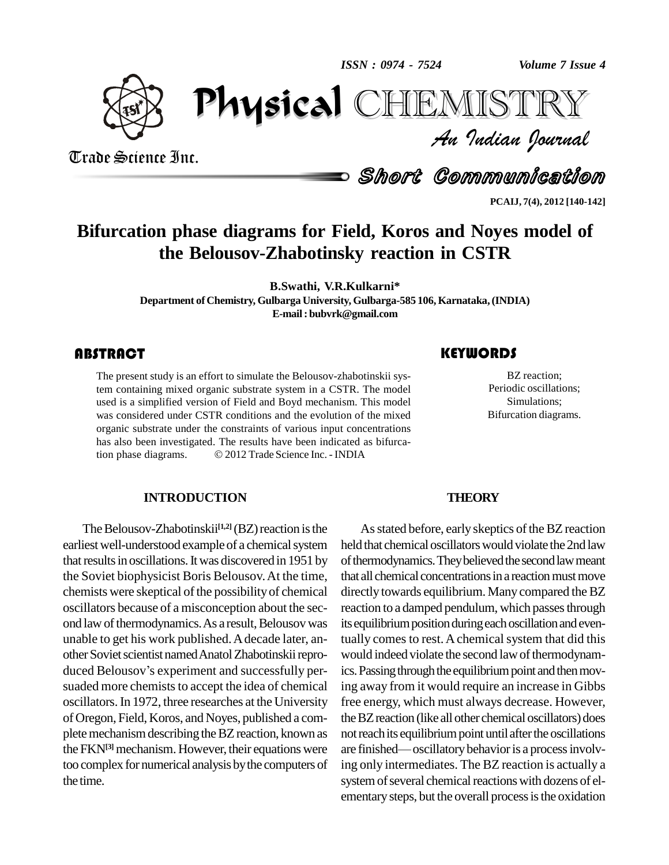physical distribution of the street of the street of the street of the street of the street of the street of t<br>Physical distribution of the street of the street of the street of the street of the street of the street of t<br> *ISSN : 0974 - 7524* *Volume 7 Issue 4*<br>IISTRY<br>Indian Iournal *Volume 7 Issue 4*

CHIEMISTRY



Trade Science Inc. Trade Science Inc.

Short Communication

**PCAIJ, 7(4), 2012 [140-142]**

# **Bifurcation phase diagrams for Field, Koros and Noyes model of the Belousov-Zhabotinsky reaction in CSTR**

**B.Swathi, V.R.Kulkarni\***

**Department of Chemistry, Gulbarga University, Gulbarga-585 106, Karnataka,(INDIA) E-mail: [bubvrk@gmail.com](mailto:bubvrk@gmail.com)**

## **ABSTRACT**

The present study is an e<br>tem containing mixed of<br>used is a simplified vers The present study is an effort to simulate the Belousov-zhabotinskii system containing mixed organic substrate system in a CSTR. The model used is a simplified version of Field and Boyd mechanism. This model was considered under CSTR conditions and the evolution of the mixed organic substrate under the constraints of various input concentrations has also been investigated. The results have been indicated as bifurcaorganic substrate under the constraints of various input concentrations<br>has also been investigated. The results have been indicated as bifurca-<br>tion phase diagrams.  $\textcircled{2012}$  Trade Science Inc. - INDIA

#### **INTRODUCTION**

The Belousov-Zhabotinskii<sup>[1,2]</sup> (BZ) reaction is the A earliest well-understood example of a chemical system that results in oscillations. It was discovered in 1951 by the Soviet biophysicist Boris Belousov.At the time, chemists were skeptical of the possibility of chemical oscillators because of a misconception about the sec ond law of thermodynamics. As a result, Belousov was unable to get his work published. A decade later, an-<br>other Soviet scientist named Anatol Zhabotinskii repro-<br>duced Belousov's experiment and successfully per- ics. other Soviet scientist named Anatol Zhabotinskii reprosuaded more chemists to accept the idea of chemical oscillators.In 1972, three researches at the University of Oregon, Field, Koros, and Noyes, published a com plete mechanism describing the BZ reaction, known as theFKN**[3]** mechanism. However, their equations were too complex fornumerical analysis bythe computers of the time.

BZ reaction;<br>Periodic oscillations; BZ reaction; Periodic oscillations; Simulations; Bifurcation diagrams.

#### **THEORY**

As stated before, early skeptics of the BZ reaction held that chemical oscillators would violate the 2nd law of thermodynamics. They believed the second law meant that all chemical concentrations in a reaction must move directly towards equilibrium. Many compared the BZ reaction to a damped pendulum, which passes through its equilibrium position during each oscillation and eventually comes to rest. A chemical system that did this would indeed violate the second law of thermodynamics. Passing through the equilibrium point and then moving away from it would require an increase in Gibbs free energy, which must always decrease. However, theBZreaction (like all other chemical oscillators) does not reach its equilibrium point until after the oscillations are finished—oscillatory behavior is a process involving only intermediates. The BZ reaction is actually a system of several chemical reactions with dozens of elementary steps, but the overall process is the oxidation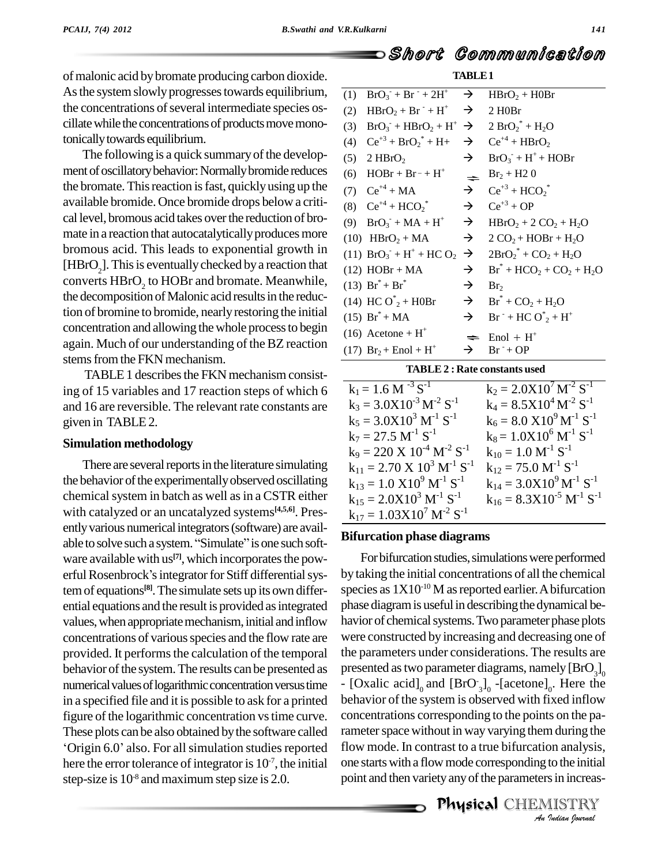of malonic acid by bromate producing carbon dioxide. As the system slowly progresses towards equilibrium, the concentrations of several intermediate species oscillate while the concentrations of products move monotonically towards equilibrium.

The following is a quick summary of the development of oscillatory behavior: Normally bromide reduces the bromate. This reaction is fast, quickly using up the available bromide. Once bromide drops below a critical level, bromous acid takes over the reduction of bromate in a reaction that autocatalytically produces more bromous acid. This leads to exponential growth in [HBrO<sub>2</sub>]. This is eventually checked by a reaction that converts HBrO<sub>2</sub> to HOBr and bromate. Meanwhile, the decomposition of Malonic acid results in the reduction of bromine to bromide, nearly restoring the initial concentration and allowing the whole process to begin again. Much of our understanding of the BZ reaction stems from the FKN mechanism.

TABLE 1 describes the FKN mechanism consisting of 15 variables and 17 reaction steps of which 6 and 16 are reversible. The relevant rate constants are given in TABLE 2.

#### **Simulation methodology**

There are several reports in the literature simulating the behavior of the experimentally observed oscillating chemical system in batch as well as in a CSTR either with catalyzed or an uncatalyzed systems<sup>[4,5,6]</sup>. Presently various numerical integrators (software) are available to solve such a system. "Simulate" is one such software available with us<sup>[7]</sup>, which incorporates the powerful Rosenbrock's integrator for Stiff differential system of equations<sup>[8]</sup>. The simulate sets up its own differential equations and the result is provided as integrated values, when appropriate mechanism, initial and inflow concentrations of various species and the flow rate are provided. It performs the calculation of the temporal behavior of the system. The results can be presented as numerical values of logarithmic concentration versus time in a specified file and it is possible to ask for a printed figure of the logarithmic concentration vs time curve. These plots can be also obtained by the software called 'Origin 6.0' also. For all simulation studies reported here the error tolerance of integrator is  $10^{-7}$ , the initial step-size is  $10<sup>8</sup>$  and maximum step size is 2.0.

| (1) | $BrO_3 + Br^{-} + 2H^{+}$                             | →             | $HBrO2 + HORr$                 |
|-----|-------------------------------------------------------|---------------|--------------------------------|
| (2) | $HBrO2 + Br- + H+$                                    | $\rightarrow$ | 2 H <sub>0</sub> Br            |
| (3) | $BrO3 + HBrO2 + H+ \rightarrow$                       |               | $2 BrO2* + H2O$                |
| (4) | $Ce^{+3} + BrO_2^* + H+$                              | →             | $Ce^{+4} + HBrO2$              |
| (5) | 2 HBrO <sub>2</sub>                                   | $\rightarrow$ | $BrO3 + H+ + HOBr$             |
| (6) | $HOBr + Br^- + H^+$                                   | $\Rightarrow$ | $Br_2 + H20$                   |
|     | (7) $Ce^{+4} + MA$                                    | $\rightarrow$ | $Ce^{+3} + HCO2*$              |
|     | (8) $Ce^{+4} + HCO2*$                                 | $\rightarrow$ | $Ce^{+3} + OP$                 |
| (9) | $BrO_3 + MA + H^+$                                    | $\rightarrow$ | $HBrO2 + 2 CO2 + H2O$          |
|     | $(10)$ HBrO <sub>2</sub> + MA                         | $\rightarrow$ | $2 CO2 + HOBr + H2O$           |
|     | (11) $BrO_3$ <sup>+</sup> + H <sup>+</sup> + HC $O_2$ | $\rightarrow$ | $2BrO2* + CO2 + H2O$           |
|     | $(12)$ HOBr + MA                                      | $\rightarrow$ | $Br^* + HCO_2 + CO_2 + H_2O$   |
|     | $(13)$ Br <sup>*</sup> + Br <sup>*</sup>              | →             | Br <sub>2</sub>                |
|     | (14) HC $O_{2}^{*}$ + H0Br                            | $\rightarrow$ | $Br^* + CO_2 + H_2O$           |
|     | $(15)$ Br <sup>*</sup> + MA                           | →             | $Br^{-} + HCO^{*}_{2} + H^{+}$ |
|     | $(16)$ Acetone + H <sup>+</sup>                       |               | $End + H^+$                    |
|     | $(17)$ Br <sub>2</sub> + Enol + H <sup>+</sup>        |               | $Br^{-}+OP$                    |

Short Communication

**TABLE1** 

#### **TABLE 2: Rate constants used**

| $k_6 = 8.0 \text{ X} 10^9 \text{ M}^{-1} \text{ S}^{-1}$ |
|----------------------------------------------------------|
|                                                          |
|                                                          |
|                                                          |
| $k_{14} = 3.0X10^{9} M^{-1} S^{-1}$                      |
| $k_{16} = 8.3X10^{-5} M^{-1} S^{-1}$                     |
|                                                          |
| $k_8 = 1.0X10^6 M^{-1} S^{-1}$                           |

### **Bifurcation phase diagrams**

For bifurcation studies, simulations were performed by taking the initial concentrations of all the chemical species as  $1X10^{-10}$  M as reported earlier. A bifurcation phase diagram is useful in describing the dynamical behavior of chemical systems. Two parameter phase plots were constructed by increasing and decreasing one of the parameters under considerations. The results are presented as two parameter diagrams, namely  $[\text{BrO}_3]_0$ - [Oxalic acid]<sub>0</sub> and  $[BrO_3]_0$  -[acetone]<sub>0</sub>. Here the behavior of the system is observed with fixed inflow concentrations corresponding to the points on the parameter space without in way varying them during the flow mode. In contrast to a true bifurcation analysis, one starts with a flow mode corresponding to the initial point and then variety any of the parameters in increas-

> Physical CHEMISTRY An Indian Journal